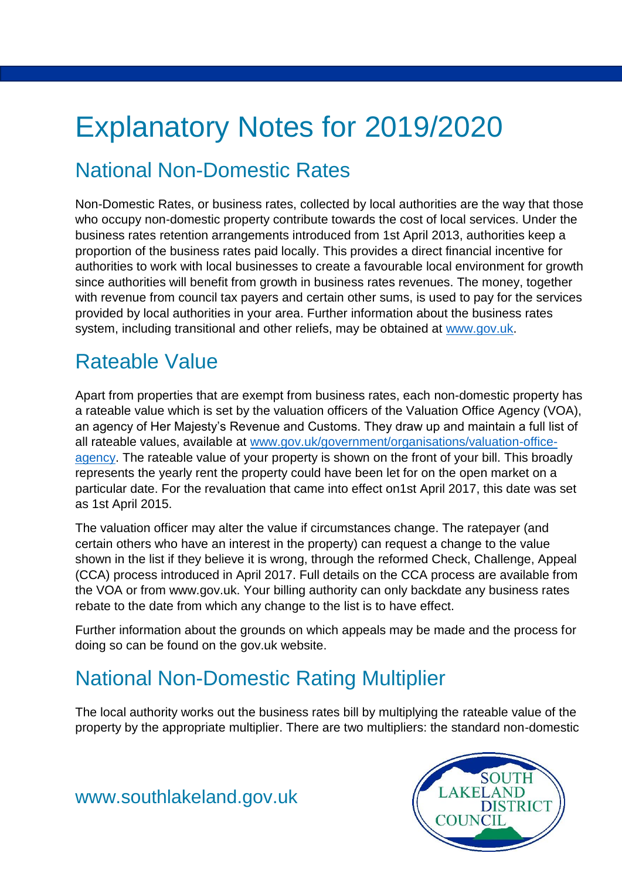# Explanatory Notes for 2019/2020

# National Non-Domestic Rates

Non-Domestic Rates, or business rates, collected by local authorities are the way that those who occupy non-domestic property contribute towards the cost of local services. Under the business rates retention arrangements introduced from 1st April 2013, authorities keep a proportion of the business rates paid locally. This provides a direct financial incentive for authorities to work with local businesses to create a favourable local environment for growth since authorities will benefit from growth in business rates revenues. The money, together with revenue from council tax payers and certain other sums, is used to pay for the services provided by local authorities in your area. Further information about the business rates system, including transitional and other reliefs, may be obtained at www.gov.uk.

# Rateable Value

Apart from properties that are exempt from business rates, each non-domestic property has a rateable value which is set by the valuation officers of the Valuation Office Agency (VOA), an agency of Her Majesty's Revenue and Customs. They draw up and maintain a full list of all rateable values, available at www.gov.uk/government/organisations/valuation-office[agency.](file:///C:/Users/a.davison/AppData/Local/Microsoft/Windows/INetCache/Content.Outlook/P9JXI3GR/www.gov.uk/government/organisations/valuation-office-agency) The rateable value of your property is shown on the front of your bill. This broadly represents the yearly rent the property could have been let for on the open market on a particular date. For the revaluation that came into effect on1st April 2017, this date was set as 1st April 2015.

The valuation officer may alter the value if circumstances change. The ratepayer (and certain others who have an interest in the property) can request a change to the value shown in the list if they believe it is wrong, through the reformed Check, Challenge, Appeal (CCA) process introduced in April 2017. Full details on the CCA process are available from the VOA or from www.gov.uk. Your billing authority can only backdate any business rates rebate to the date from which any change to the list is to have effect.

Further information about the grounds on which appeals may be made and the process for doing so can be found on the gov.uk website.

## National Non-Domestic Rating Multiplier

The local authority works out the business rates bill by multiplying the rateable value of the property by the appropriate multiplier. There are two multipliers: the standard non-domestic



[www.southlakeland.gov.uk](http://www.southlakeland.gov.uk/)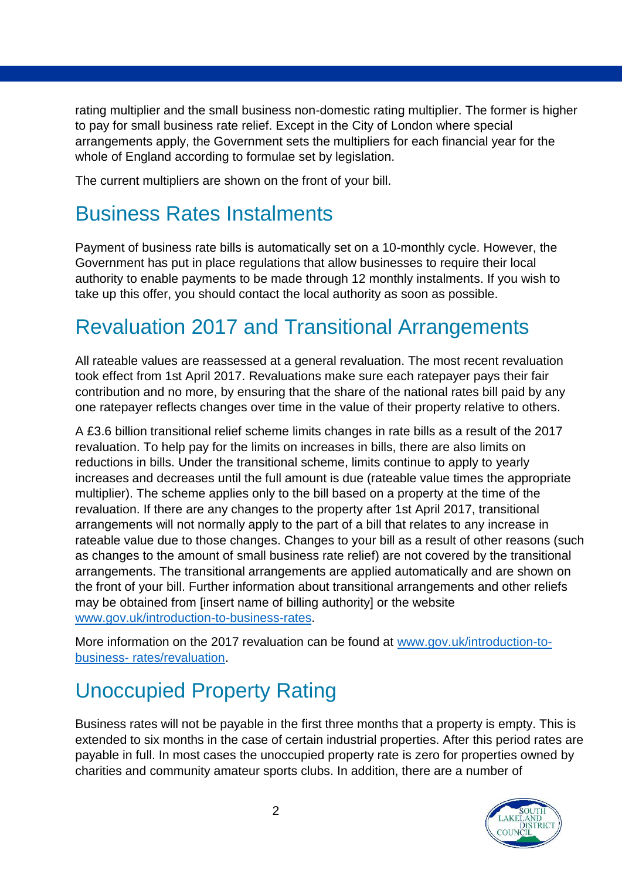rating multiplier and the small business non-domestic rating multiplier. The former is higher to pay for small business rate relief. Except in the City of London where special arrangements apply, the Government sets the multipliers for each financial year for the whole of England according to formulae set by legislation.

The current multipliers are shown on the front of your bill.

#### Business Rates Instalments

Payment of business rate bills is automatically set on a 10-monthly cycle. However, the Government has put in place regulations that allow businesses to require their local authority to enable payments to be made through 12 monthly instalments. If you wish to take up this offer, you should contact the local authority as soon as possible.

## Revaluation 2017 and Transitional Arrangements

All rateable values are reassessed at a general revaluation. The most recent revaluation took effect from 1st April 2017. Revaluations make sure each ratepayer pays their fair contribution and no more, by ensuring that the share of the national rates bill paid by any one ratepayer reflects changes over time in the value of their property relative to others.

A £3.6 billion transitional relief scheme limits changes in rate bills as a result of the 2017 revaluation. To help pay for the limits on increases in bills, there are also limits on reductions in bills. Under the transitional scheme, limits continue to apply to yearly increases and decreases until the full amount is due (rateable value times the appropriate multiplier). The scheme applies only to the bill based on a property at the time of the revaluation. If there are any changes to the property after 1st April 2017, transitional arrangements will not normally apply to the part of a bill that relates to any increase in rateable value due to those changes. Changes to your bill as a result of other reasons (such as changes to the amount of small business rate relief) are not covered by the transitional arrangements. The transitional arrangements are applied automatically and are shown on the front of your bill. Further information about transitional arrangements and other reliefs may be obtained from [insert name of billing authority] or the website [www.gov.uk/introduction-to-business-rates.](http://www.gov.uk/introduction-to-business-rates)

More information on the 2017 revaluation can be found at [www.gov.uk/introduction-to](file:///C:/Users/a.davison/AppData/Local/Microsoft/Windows/INetCache/Content.Outlook/P9JXI3GR/www.gov.uk/introduction-to-business-%20rates/revaluation)business- [rates/revaluation.](file:///C:/Users/a.davison/AppData/Local/Microsoft/Windows/INetCache/Content.Outlook/P9JXI3GR/www.gov.uk/introduction-to-business-%20rates/revaluation)

# Unoccupied Property Rating

Business rates will not be payable in the first three months that a property is empty. This is extended to six months in the case of certain industrial properties. After this period rates are payable in full. In most cases the unoccupied property rate is zero for properties owned by charities and community amateur sports clubs. In addition, there are a number of

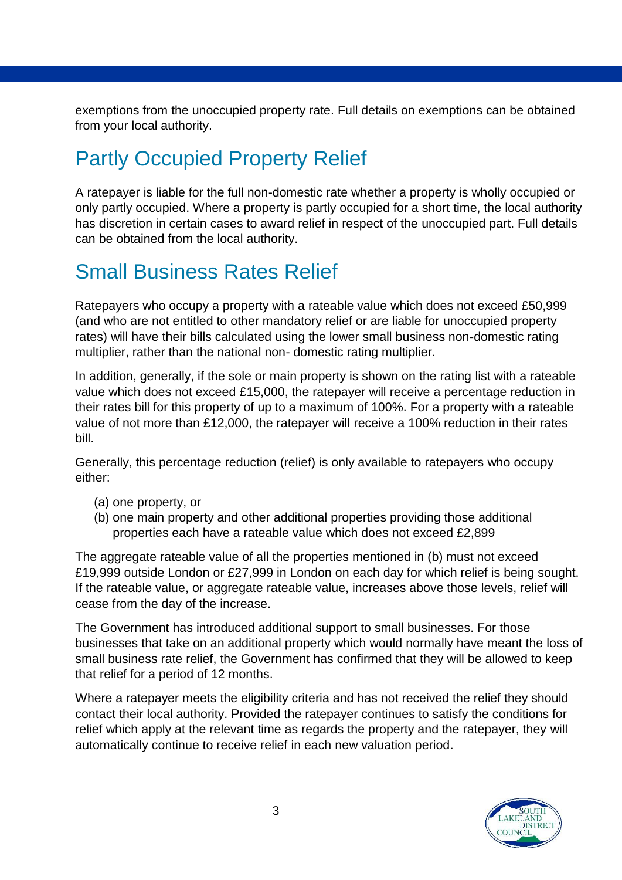exemptions from the unoccupied property rate. Full details on exemptions can be obtained from your local authority.

# Partly Occupied Property Relief

A ratepayer is liable for the full non-domestic rate whether a property is wholly occupied or only partly occupied. Where a property is partly occupied for a short time, the local authority has discretion in certain cases to award relief in respect of the unoccupied part. Full details can be obtained from the local authority.

## Small Business Rates Relief

Ratepayers who occupy a property with a rateable value which does not exceed £50,999 (and who are not entitled to other mandatory relief or are liable for unoccupied property rates) will have their bills calculated using the lower small business non-domestic rating multiplier, rather than the national non- domestic rating multiplier.

In addition, generally, if the sole or main property is shown on the rating list with a rateable value which does not exceed £15,000, the ratepayer will receive a percentage reduction in their rates bill for this property of up to a maximum of 100%. For a property with a rateable value of not more than £12,000, the ratepayer will receive a 100% reduction in their rates bill.

Generally, this percentage reduction (relief) is only available to ratepayers who occupy either:

- (a) one property, or
- (b) one main property and other additional properties providing those additional properties each have a rateable value which does not exceed £2,899

The aggregate rateable value of all the properties mentioned in (b) must not exceed £19,999 outside London or £27,999 in London on each day for which relief is being sought. If the rateable value, or aggregate rateable value, increases above those levels, relief will cease from the day of the increase.

The Government has introduced additional support to small businesses. For those businesses that take on an additional property which would normally have meant the loss of small business rate relief, the Government has confirmed that they will be allowed to keep that relief for a period of 12 months.

Where a ratepayer meets the eligibility criteria and has not received the relief they should contact their local authority. Provided the ratepayer continues to satisfy the conditions for relief which apply at the relevant time as regards the property and the ratepayer, they will automatically continue to receive relief in each new valuation period.

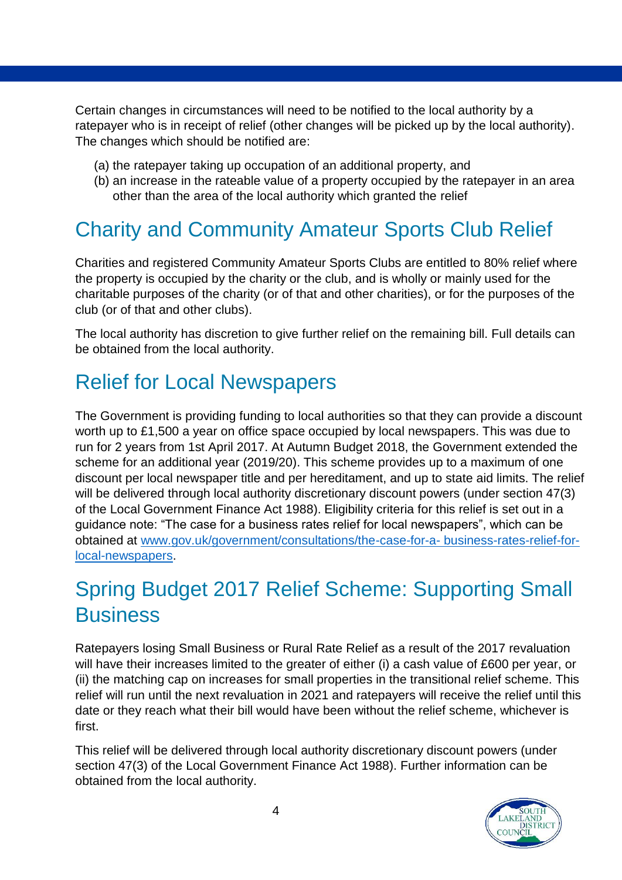Certain changes in circumstances will need to be notified to the local authority by a ratepayer who is in receipt of relief (other changes will be picked up by the local authority). The changes which should be notified are:

- (a) the ratepayer taking up occupation of an additional property, and
- (b) an increase in the rateable value of a property occupied by the ratepayer in an area other than the area of the local authority which granted the relief

# Charity and Community Amateur Sports Club Relief

Charities and registered Community Amateur Sports Clubs are entitled to 80% relief where the property is occupied by the charity or the club, and is wholly or mainly used for the charitable purposes of the charity (or of that and other charities), or for the purposes of the club (or of that and other clubs).

The local authority has discretion to give further relief on the remaining bill. Full details can be obtained from the local authority.

### Relief for Local Newspapers

The Government is providing funding to local authorities so that they can provide a discount worth up to £1,500 a year on office space occupied by local newspapers. This was due to run for 2 years from 1st April 2017. At Autumn Budget 2018, the Government extended the scheme for an additional year (2019/20). This scheme provides up to a maximum of one discount per local newspaper title and per hereditament, and up to state aid limits. The relief will be delivered through local authority discretionary discount powers (under section 47(3) of the Local Government Finance Act 1988). Eligibility criteria for this relief is set out in a guidance note: "The case for a business rates relief for local newspapers", which can be obtained at [www.gov.uk/government/consultations/the-case-for-a- business-rates-relief-for](https://www.gov.uk/government/consultations/the-case-for-a-business-rates-relief-for-local-newspapers)[local-newspapers.](https://www.gov.uk/government/consultations/the-case-for-a-business-rates-relief-for-local-newspapers)

# Spring Budget 2017 Relief Scheme: Supporting Small **Business**

Ratepayers losing Small Business or Rural Rate Relief as a result of the 2017 revaluation will have their increases limited to the greater of either (i) a cash value of £600 per year, or (ii) the matching cap on increases for small properties in the transitional relief scheme. This relief will run until the next revaluation in 2021 and ratepayers will receive the relief until this date or they reach what their bill would have been without the relief scheme, whichever is first.

This relief will be delivered through local authority discretionary discount powers (under section 47(3) of the Local Government Finance Act 1988). Further information can be obtained from the local authority.

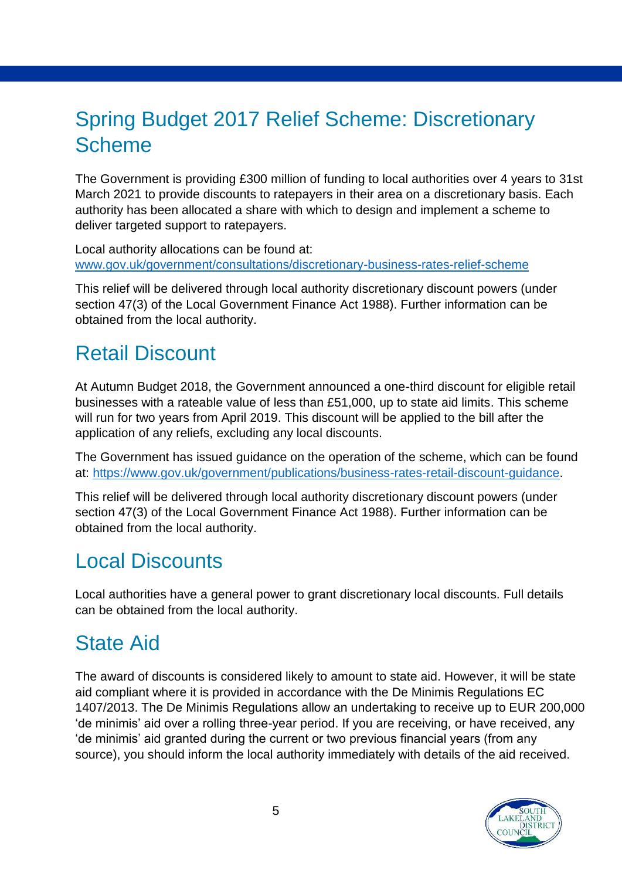## Spring Budget 2017 Relief Scheme: Discretionary Scheme

The Government is providing £300 million of funding to local authorities over 4 years to 31st March 2021 to provide discounts to ratepayers in their area on a discretionary basis. Each authority has been allocated a share with which to design and implement a scheme to deliver targeted support to ratepayers.

Local authority allocations can be found at: [www.gov.uk/government/consultations/discretionary-business-rates-relief-scheme](http://www.gov.uk/government/consultations/discretionary-business-rates-relief-scheme)

This relief will be delivered through local authority discretionary discount powers (under section 47(3) of the Local Government Finance Act 1988). Further information can be obtained from the local authority.

## Retail Discount

At Autumn Budget 2018, the Government announced a one-third discount for eligible retail businesses with a rateable value of less than £51,000, up to state aid limits. This scheme will run for two years from April 2019. This discount will be applied to the bill after the application of any reliefs, excluding any local discounts.

The Government has issued guidance on the operation of the scheme, which can be found at: [https://www.gov.uk/government/publications/business-rates-retail-discount-guidance.](https://www.gov.uk/government/publications/business-rates-retail-discount-guidance)

This relief will be delivered through local authority discretionary discount powers (under section 47(3) of the Local Government Finance Act 1988). Further information can be obtained from the local authority.

#### Local Discounts

Local authorities have a general power to grant discretionary local discounts. Full details can be obtained from the local authority.

# State Aid

The award of discounts is considered likely to amount to state aid. However, it will be state aid compliant where it is provided in accordance with the De Minimis Regulations EC 1407/2013. The De Minimis Regulations allow an undertaking to receive up to EUR 200,000 'de minimis' aid over a rolling three-year period. If you are receiving, or have received, any 'de minimis' aid granted during the current or two previous financial years (from any source), you should inform the local authority immediately with details of the aid received.